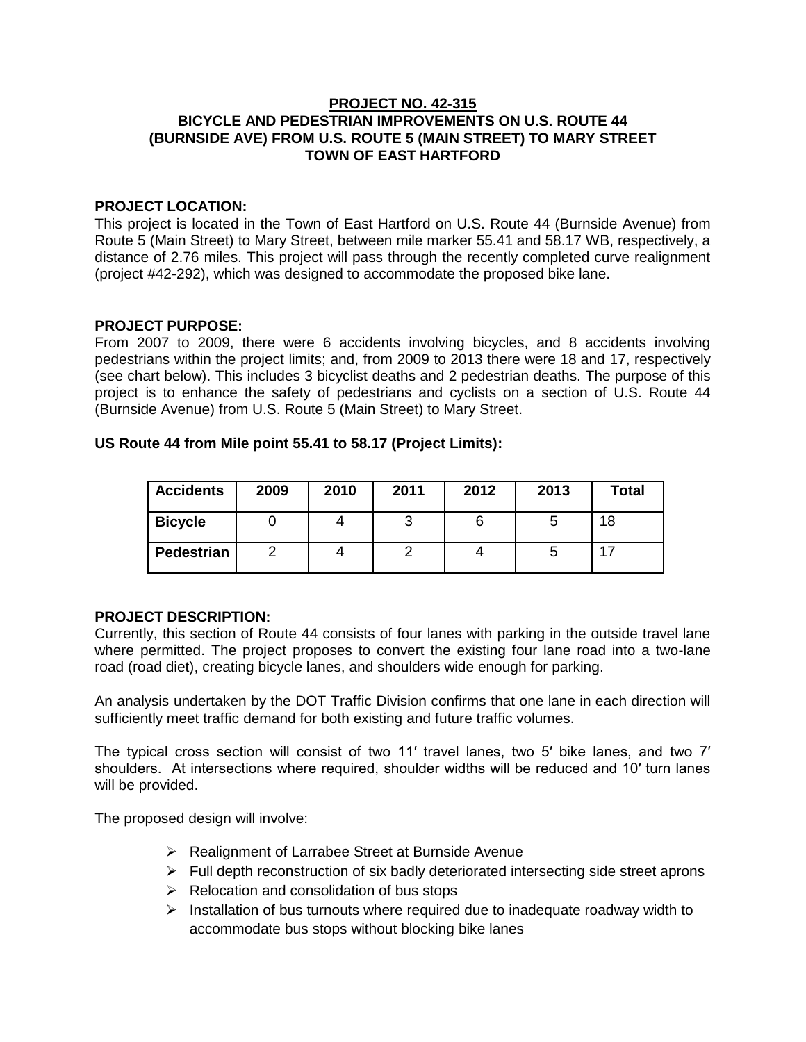## **PROJECT NO. 42-315 BICYCLE AND PEDESTRIAN IMPROVEMENTS ON U.S. ROUTE 44 (BURNSIDE AVE) FROM U.S. ROUTE 5 (MAIN STREET) TO MARY STREET TOWN OF EAST HARTFORD**

## **PROJECT LOCATION:**

This project is located in the Town of East Hartford on U.S. Route 44 (Burnside Avenue) from Route 5 (Main Street) to Mary Street, between mile marker 55.41 and 58.17 WB, respectively, a distance of 2.76 miles. This project will pass through the recently completed curve realignment (project #42-292), which was designed to accommodate the proposed bike lane.

## **PROJECT PURPOSE:**

From 2007 to 2009, there were 6 accidents involving bicycles, and 8 accidents involving pedestrians within the project limits; and, from 2009 to 2013 there were 18 and 17, respectively (see chart below). This includes 3 bicyclist deaths and 2 pedestrian deaths. The purpose of this project is to enhance the safety of pedestrians and cyclists on a section of U.S. Route 44 (Burnside Avenue) from U.S. Route 5 (Main Street) to Mary Street.

## **US Route 44 from Mile point 55.41 to 58.17 (Project Limits):**

| <b>Accidents</b> | 2009 | 2010 | 2011 | 2012 | 2013 | <b>Total</b> |
|------------------|------|------|------|------|------|--------------|
| <b>Bicycle</b>   |      |      |      |      |      | 18           |
| Pedestrian       |      |      |      |      |      |              |

# **PROJECT DESCRIPTION:**

Currently, this section of Route 44 consists of four lanes with parking in the outside travel lane where permitted. The project proposes to convert the existing four lane road into a two-lane road (road diet), creating bicycle lanes, and shoulders wide enough for parking.

An analysis undertaken by the DOT Traffic Division confirms that one lane in each direction will sufficiently meet traffic demand for both existing and future traffic volumes.

The typical cross section will consist of two 11′ travel lanes, two 5′ bike lanes, and two 7′ shoulders. At intersections where required, shoulder widths will be reduced and 10′ turn lanes will be provided.

The proposed design will involve:

- **EXA** Realignment of Larrabee Street at Burnside Avenue
- $\triangleright$  Full depth reconstruction of six badly deteriorated intersecting side street aprons
- $\triangleright$  Relocation and consolidation of bus stops
- $\triangleright$  Installation of bus turnouts where required due to inadequate roadway width to accommodate bus stops without blocking bike lanes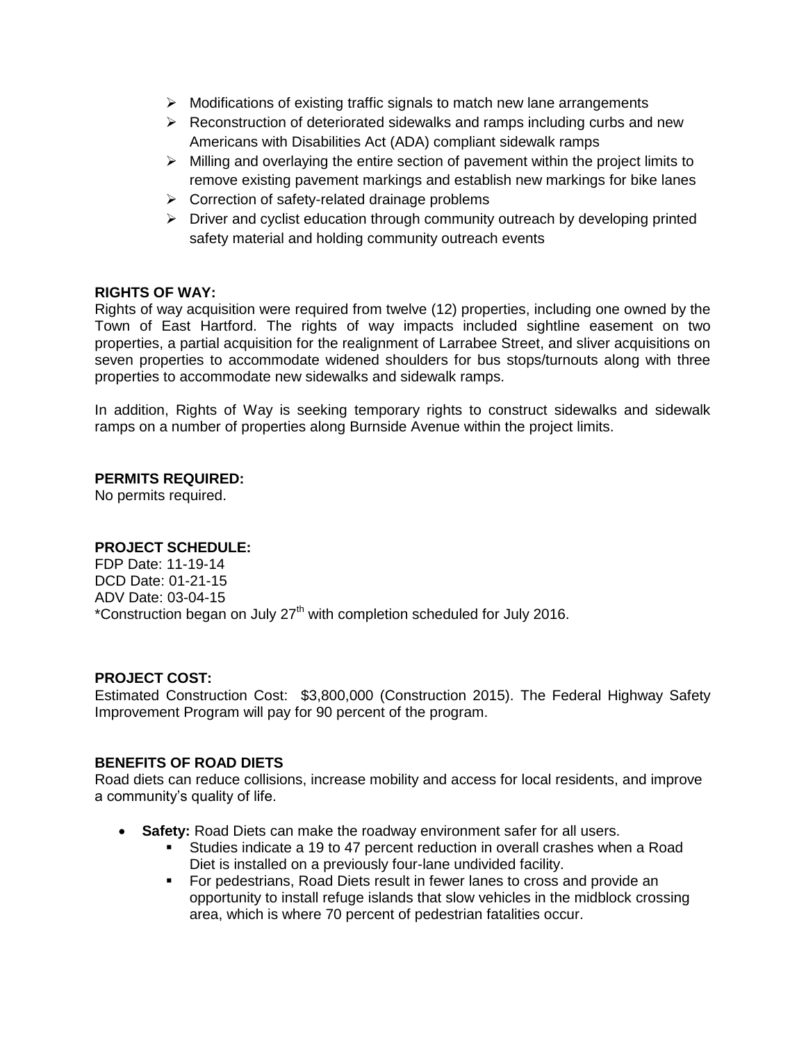- $\triangleright$  Modifications of existing traffic signals to match new lane arrangements
- $\triangleright$  Reconstruction of deteriorated sidewalks and ramps including curbs and new Americans with Disabilities Act (ADA) compliant sidewalk ramps
- $\triangleright$  Milling and overlaying the entire section of pavement within the project limits to remove existing pavement markings and establish new markings for bike lanes
- $\triangleright$  Correction of safety-related drainage problems
- $\triangleright$  Driver and cyclist education through community outreach by developing printed safety material and holding community outreach events

# **RIGHTS OF WAY:**

Rights of way acquisition were required from twelve (12) properties, including one owned by the Town of East Hartford. The rights of way impacts included sightline easement on two properties, a partial acquisition for the realignment of Larrabee Street, and sliver acquisitions on seven properties to accommodate widened shoulders for bus stops/turnouts along with three properties to accommodate new sidewalks and sidewalk ramps.

In addition, Rights of Way is seeking temporary rights to construct sidewalks and sidewalk ramps on a number of properties along Burnside Avenue within the project limits.

## **PERMITS REQUIRED:**

No permits required.

### **PROJECT SCHEDULE:**

FDP Date: 11-19-14 DCD Date: 01-21-15 ADV Date: 03-04-15 \*Construction began on July  $27<sup>th</sup>$  with completion scheduled for July 2016.

### **PROJECT COST:**

Estimated Construction Cost: \$3,800,000 (Construction 2015). The Federal Highway Safety Improvement Program will pay for 90 percent of the program.

### **BENEFITS OF ROAD DIETS**

Road diets can reduce collisions, increase mobility and access for local residents, and improve a community's quality of life.

- **Safety:** Road Diets can make the roadway environment safer for all users.
	- Studies indicate a 19 to 47 percent reduction in overall crashes when a Road Diet is installed on a previously four-lane undivided facility.
	- For pedestrians, Road Diets result in fewer lanes to cross and provide an opportunity to install refuge islands that slow vehicles in the midblock crossing area, which is where 70 percent of pedestrian fatalities occur.